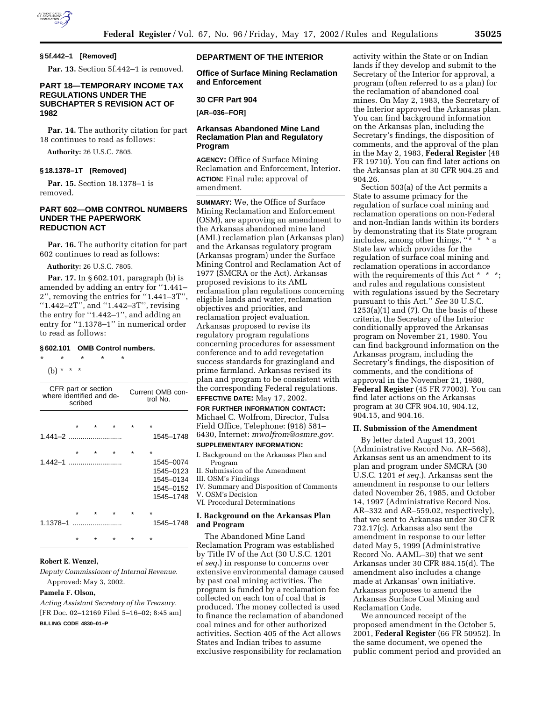

# **§ 5f.442–1 [Removed]**

**Par. 13.** Section 5f.442–1 is removed.

# **PART 18—TEMPORARY INCOME TAX REGULATIONS UNDER THE SUBCHAPTER S REVISION ACT OF 1982**

**Par. 14.** The authority citation for part 18 continues to read as follows:

**Authority:** 26 U.S.C. 7805.

#### **§ 18.1378–1T [Removed]**

**Par. 15.** Section 18.1378–1 is removed.

# **PART 602—OMB CONTROL NUMBERS UNDER THE PAPERWORK REDUCTION ACT**

**Par. 16.** The authority citation for part 602 continues to read as follows:

**Authority:** 26 U.S.C. 7805.

**Par. 17.** In § 602.101, paragraph (b) is amended by adding an entry for ''1.441– 2'', removing the entries for ''1.441–3T'', ''1.442–2T'', and ''1.442–3T'', revising the entry for ''1.442–1'', and adding an entry for "1.1378-1" in numerical order to read as follows:

# **§ 602.101 OMB Control numbers.**

\* \* \* \* \* (b) \* \* \*

| CFR part or section<br>where identified and de-<br>scribed |         |         |  | Current OMB con-<br>trol No. |           |  |  |
|------------------------------------------------------------|---------|---------|--|------------------------------|-----------|--|--|
|                                                            | $\star$ |         |  |                              | ÷         |  |  |
|                                                            |         |         |  |                              | 1545-1748 |  |  |
|                                                            | $\star$ | $\star$ |  |                              | $\star$   |  |  |
|                                                            |         |         |  |                              | 1545-0074 |  |  |
|                                                            |         |         |  |                              | 1545-0123 |  |  |
|                                                            |         |         |  |                              | 1545-0134 |  |  |
|                                                            |         |         |  |                              | 1545-0152 |  |  |
|                                                            |         |         |  |                              | 1545-1748 |  |  |
|                                                            | $\star$ |         |  |                              | ÷         |  |  |
| 1.1378-1                                                   |         |         |  |                              | 1545-1748 |  |  |
|                                                            |         | ÷       |  | ÷                            |           |  |  |
|                                                            |         |         |  |                              |           |  |  |

# **Robert E. Wenzel,**

*Deputy Commissioner of Internal Revenue.*  Approved: May 3, 2002.

#### **Pamela F. Olson,**

*Acting Assistant Secretary of the Treasury.* [FR Doc. 02–12169 Filed 5–16–02; 8:45 am] **BILLING CODE 4830–01–P**

# **DEPARTMENT OF THE INTERIOR**

**Office of Surface Mining Reclamation and Enforcement** 

#### **30 CFR Part 904**

**[AR–036–FOR]** 

# **Arkansas Abandoned Mine Land Reclamation Plan and Regulatory Program**

**AGENCY:** Office of Surface Mining Reclamation and Enforcement, Interior. **ACTION:** Final rule; approval of amendment.

**SUMMARY:** We, the Office of Surface Mining Reclamation and Enforcement (OSM), are approving an amendment to the Arkansas abandoned mine land (AML) reclamation plan (Arkansas plan) and the Arkansas regulatory program (Arkansas program) under the Surface Mining Control and Reclamation Act of 1977 (SMCRA or the Act). Arkansas proposed revisions to its AML reclamation plan regulations concerning eligible lands and water, reclamation objectives and priorities, and reclamation project evaluation. Arkansas proposed to revise its regulatory program regulations concerning procedures for assessment conference and to add revegetation success standards for grazingland and prime farmland. Arkansas revised its plan and program to be consistent with the corresponding Federal regulations. **EFFECTIVE DATE:** May 17, 2002.

**FOR FURTHER INFORMATION CONTACT:** Michael C. Wolfrom, Director, Tulsa Field Office, Telephone: (918) 581– 6430, Internet: *mwolfrom@osmre.gov.*

### **SUPPLEMENTARY INFORMATION:**

I. Background on the Arkansas Plan and Program

- II. Submission of the Amendment
- III. OSM's Findings

IV. Summary and Disposition of Comments V. OSM's Decision

VI. Procedural Determinations

### **I. Background on the Arkansas Plan and Program**

The Abandoned Mine Land Reclamation Program was established by Title IV of the Act (30 U.S.C. 1201 *et seq.*) in response to concerns over extensive environmental damage caused by past coal mining activities. The program is funded by a reclamation fee collected on each ton of coal that is produced. The money collected is used to finance the reclamation of abandoned coal mines and for other authorized activities. Section 405 of the Act allows States and Indian tribes to assume exclusive responsibility for reclamation

activity within the State or on Indian lands if they develop and submit to the Secretary of the Interior for approval, a program (often referred to as a plan) for the reclamation of abandoned coal mines. On May 2, 1983, the Secretary of the Interior approved the Arkansas plan. You can find background information on the Arkansas plan, including the Secretary's findings, the disposition of comments, and the approval of the plan in the May 2, 1983, **Federal Register** (48 FR 19710). You can find later actions on the Arkansas plan at 30 CFR 904.25 and 904.26.

Section 503(a) of the Act permits a State to assume primacy for the regulation of surface coal mining and reclamation operations on non-Federal and non-Indian lands within its borders by demonstrating that its State program includes, among other things,  $\frac{1}{x}$   $\frac{x}{x}$   $\frac{x}{y}$  a State law which provides for the regulation of surface coal mining and reclamation operations in accordance with the requirements of this Act  $*$   $*$ and rules and regulations consistent with regulations issued by the Secretary pursuant to this Act.'' *See* 30 U.S.C.  $1253(a)(1)$  and  $(7)$ . On the basis of these criteria, the Secretary of the Interior conditionally approved the Arkansas program on November 21, 1980. You can find background information on the Arkansas program, including the Secretary's findings, the disposition of comments, and the conditions of approval in the November 21, 1980, **Federal Register** (45 FR 77003). You can find later actions on the Arkansas program at 30 CFR 904.10, 904.12, 904.15, and 904.16.

#### **II. Submission of the Amendment**

By letter dated August 13, 2001 (Administrative Record No. AR–568), Arkansas sent us an amendment to its plan and program under SMCRA (30 U.S.C. 1201 *et seq.*). Arkansas sent the amendment in response to our letters dated November 26, 1985, and October 14, 1997 (Administrative Record Nos. AR–332 and AR–559.02, respectively), that we sent to Arkansas under 30 CFR 732.17(c). Arkansas also sent the amendment in response to our letter dated May 5, 1999 (Administrative Record No. AAML–30) that we sent Arkansas under 30 CFR 884.15(d). The amendment also includes a change made at Arkansas' own initiative. Arkansas proposes to amend the Arkansas Surface Coal Mining and Reclamation Code.

We announced receipt of the proposed amendment in the October 5, 2001, **Federal Register** (66 FR 50952). In the same document, we opened the public comment period and provided an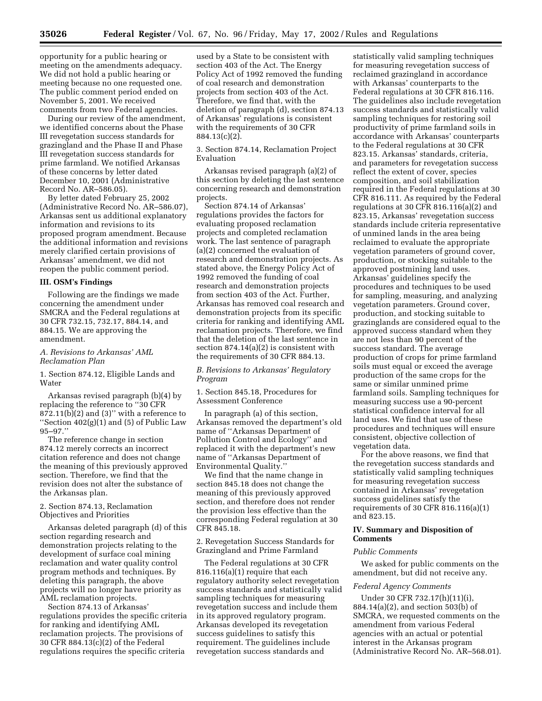opportunity for a public hearing or meeting on the amendments adequacy. We did not hold a public hearing or meeting because no one requested one. The public comment period ended on November 5, 2001. We received comments from two Federal agencies.

During our review of the amendment, we identified concerns about the Phase III revegetation success standards for grazingland and the Phase II and Phase III revegetation success standards for prime farmland. We notified Arkansas of these concerns by letter dated December 10, 2001 (Administrative Record No. AR–586.05).

By letter dated February 25, 2002 (Administrative Record No. AR–586.07), Arkansas sent us additional explanatory information and revisions to its proposed program amendment. Because the additional information and revisions merely clarified certain provisions of Arkansas' amendment, we did not reopen the public comment period.

#### **III. OSM's Findings**

Following are the findings we made concerning the amendment under SMCRA and the Federal regulations at 30 CFR 732.15, 732.17, 884.14, and 884.15. We are approving the amendment.

# *A. Revisions to Arkansas' AML Reclamation Plan*

1. Section 874.12, Eligible Lands and **Water** 

Arkansas revised paragraph (b)(4) by replacing the reference to ''30 CFR  $872.11(b)(2)$  and  $(3)$ " with a reference to ''Section 402(g)(1) and (5) of Public Law 95–97.''

The reference change in section 874.12 merely corrects an incorrect citation reference and does not change the meaning of this previously approved section. Therefore, we find that the revision does not alter the substance of the Arkansas plan.

# 2. Section 874.13, Reclamation Objectives and Priorities

Arkansas deleted paragraph (d) of this section regarding research and demonstration projects relating to the development of surface coal mining reclamation and water quality control program methods and techniques. By deleting this paragraph, the above projects will no longer have priority as AML reclamation projects.

Section 874.13 of Arkansas' regulations provides the specific criteria for ranking and identifying AML reclamation projects. The provisions of 30 CFR 884.13(c)(2) of the Federal regulations requires the specific criteria

used by a State to be consistent with section 403 of the Act. The Energy Policy Act of 1992 removed the funding of coal research and demonstration projects from section 403 of the Act. Therefore, we find that, with the deletion of paragraph (d), section 874.13 of Arkansas' regulations is consistent with the requirements of 30 CFR 884.13(c)(2).

3. Section 874.14, Reclamation Project Evaluation

Arkansas revised paragraph (a)(2) of this section by deleting the last sentence concerning research and demonstration projects.

Section 874.14 of Arkansas' regulations provides the factors for evaluating proposed reclamation projects and completed reclamation work. The last sentence of paragraph (a)(2) concerned the evaluation of research and demonstration projects. As stated above, the Energy Policy Act of 1992 removed the funding of coal research and demonstration projects from section 403 of the Act. Further, Arkansas has removed coal research and demonstration projects from its specific criteria for ranking and identifying AML reclamation projects. Therefore, we find that the deletion of the last sentence in section 874.14(a)(2) is consistent with the requirements of 30 CFR 884.13.

### *B. Revisions to Arkansas' Regulatory Program*

1. Section 845.18, Procedures for Assessment Conference

In paragraph (a) of this section, Arkansas removed the department's old name of ''Arkansas Department of Pollution Control and Ecology'' and replaced it with the department's new name of ''Arkansas Department of Environmental Quality.''

We find that the name change in section 845.18 does not change the meaning of this previously approved section, and therefore does not render the provision less effective than the corresponding Federal regulation at 30 CFR 845.18.

2. Revegetation Success Standards for Grazingland and Prime Farmland

The Federal regulations at 30 CFR 816.116(a)(1) require that each regulatory authority select revegetation success standards and statistically valid sampling techniques for measuring revegetation success and include them in its approved regulatory program. Arkansas developed its revegetation success guidelines to satisfy this requirement. The guidelines include revegetation success standards and

statistically valid sampling techniques for measuring revegetation success of reclaimed grazingland in accordance with Arkansas' counterparts to the Federal regulations at 30 CFR 816.116. The guidelines also include revegetation success standards and statistically valid sampling techniques for restoring soil productivity of prime farmland soils in accordance with Arkansas' counterparts to the Federal regulations at 30 CFR 823.15. Arkansas' standards, criteria, and parameters for revegetation success reflect the extent of cover, species composition, and soil stabilization required in the Federal regulations at 30 CFR 816.111. As required by the Federal regulations at 30 CFR 816.116(a)(2) and 823.15, Arkansas' revegetation success standards include criteria representative of unmined lands in the area being reclaimed to evaluate the appropriate vegetation parameters of ground cover, production, or stocking suitable to the approved postmining land uses. Arkansas' guidelines specify the procedures and techniques to be used for sampling, measuring, and analyzing vegetation parameters. Ground cover, production, and stocking suitable to grazinglands are considered equal to the approved success standard when they are not less than 90 percent of the success standard. The average production of crops for prime farmland soils must equal or exceed the average production of the same crops for the same or similar unmined prime farmland soils. Sampling techniques for measuring success use a 90-percent statistical confidence interval for all land uses. We find that use of these procedures and techniques will ensure consistent, objective collection of vegetation data.

For the above reasons, we find that the revegetation success standards and statistically valid sampling techniques for measuring revegetation success contained in Arkansas' revegetation success guidelines satisfy the requirements of 30 CFR 816.116(a)(1) and 823.15.

# **IV. Summary and Disposition of Comments**

#### *Public Comments*

We asked for public comments on the amendment, but did not receive any.

### *Federal Agency Comments*

Under 30 CFR 732.17(h)(11)(i), 884.14(a)(2), and section 503(b) of SMCRA, we requested comments on the amendment from various Federal agencies with an actual or potential interest in the Arkansas program (Administrative Record No. AR–568.01).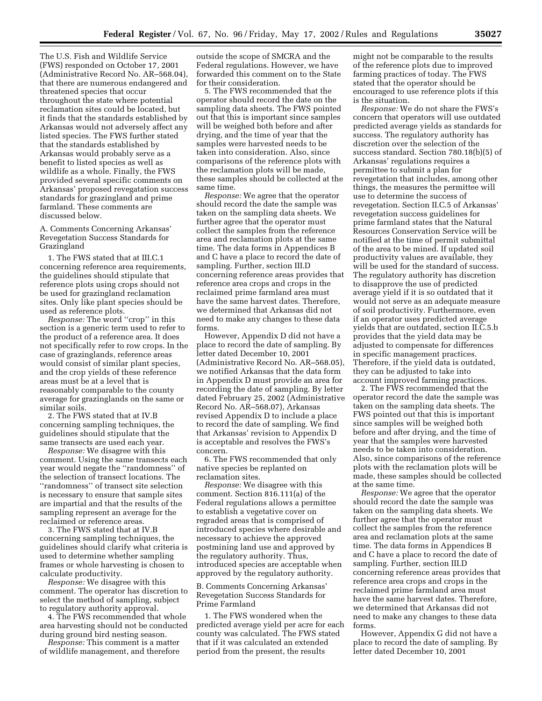The U.S. Fish and Wildlife Service (FWS) responded on October 17, 2001 (Administrative Record No. AR–568.04), that there are numerous endangered and threatened species that occur throughout the state where potential reclamation sites could be located, but it finds that the standards established by Arkansas would not adversely affect any listed species. The FWS further stated that the standards established by Arkansas would probably serve as a benefit to listed species as well as wildlife as a whole. Finally, the FWS provided several specific comments on Arkansas' proposed revegatation success standards for grazingland and prime farmland. These comments are discussed below.

A. Comments Concerning Arkansas' Revegetation Success Standards for Grazingland

1. The FWS stated that at III.C.1 concerning reference area requirements, the guidelines should stipulate that reference plots using crops should not be used for grazingland reclamation sites. Only like plant species should be used as reference plots.

*Response:* The word ''crop'' in this section is a generic term used to refer to the product of a reference area. It does not specifically refer to row crops. In the case of grazinglands, reference areas would consist of similar plant species, and the crop yields of these reference areas must be at a level that is reasonably comparable to the county average for grazinglands on the same or similar soils.

2. The FWS stated that at IV.B concerning sampling techniques, the guidelines should stipulate that the same transects are used each year.

*Response:* We disagree with this comment. Using the same transects each year would negate the ''randomness'' of the selection of transect locations. The ''randomness'' of transect site selection is necessary to ensure that sample sites are impartial and that the results of the sampling represent an average for the reclaimed or reference areas.

3. The FWS stated that at IV.B concerning sampling techniques, the guidelines should clarify what criteria is used to determine whether sampling frames or whole harvesting is chosen to calculate productivity.

*Response:* We disagree with this comment. The operator has discretion to select the method of sampling, subject to regulatory authority approval.

4. The FWS recommended that whole area harvesting should not be conducted during ground bird nesting season.

*Response:* This comment is a matter of wildlife management, and therefore outside the scope of SMCRA and the Federal regulations. However, we have forwarded this comment on to the State for their consideration.

5. The FWS recommended that the operator should record the date on the sampling data sheets. The FWS pointed out that this is important since samples will be weighed both before and after drying, and the time of year that the samples were harvested needs to be taken into consideration. Also, since comparisons of the reference plots with the reclamation plots will be made, these samples should be collected at the same time.

*Response:* We agree that the operator should record the date the sample was taken on the sampling data sheets. We further agree that the operator must collect the samples from the reference area and reclamation plots at the same time. The data forms in Appendices B and C have a place to record the date of sampling. Further, section III.D concerning reference areas provides that reference area crops and crops in the reclaimed prime farmland area must have the same harvest dates. Therefore, we determined that Arkansas did not need to make any changes to these data forms.

However, Appendix D did not have a place to record the date of sampling. By letter dated December 10, 2001 (Administrative Record No. AR–568.05), we notified Arkansas that the data form in Appendix D must provide an area for recording the date of sampling. By letter dated February 25, 2002 (Administrative Record No. AR–568.07), Arkansas revised Appendix D to include a place to record the date of sampling. We find that Arkansas' revision to Appendix D is acceptable and resolves the FWS's concern.

6. The FWS recommended that only native species be replanted on reclamation sites.

*Response:* We disagree with this comment. Section 816.111(a) of the Federal regulations allows a permittee to establish a vegetative cover on regraded areas that is comprised of introduced species where desirable and necessary to achieve the approved postmining land use and approved by the regulatory authority. Thus, introduced species are acceptable when approved by the regulatory authority.

B. Comments Concerning Arkansas' Revegetation Success Standards for Prime Farmland

1. The FWS wondered when the predicted average yield per acre for each county was calculated. The FWS stated that if it was calculated an extended period from the present, the results

might not be comparable to the results of the reference plots due to improved farming practices of today. The FWS stated that the operator should be encouraged to use reference plots if this is the situation.

*Response:* We do not share the FWS's concern that operators will use outdated predicted average yields as standards for success. The regulatory authority has discretion over the selection of the success standard. Section 780.18(b)(5) of Arkansas' regulations requires a permittee to submit a plan for revegetation that includes, among other things, the measures the permittee will use to determine the success of revegetation. Section II.C.5 of Arkansas' revegetation success guidelines for prime farmland states that the Natural Resources Conservation Service will be notified at the time of permit submittal of the area to be mined. If updated soil productivity values are available, they will be used for the standard of success. The regulatory authority has discretion to disapprove the use of predicted average yield if it is so outdated that it would not serve as an adequate measure of soil productivity. Furthermore, even if an operator uses predicted average yields that are outdated, section II.C.5.b provides that the yield data may be adjusted to compensate for differences in specific management practices. Therefore, if the yield data is outdated, they can be adjusted to take into account improved farming practices.

2. The FWS recommended that the operator record the date the sample was taken on the sampling data sheets. The FWS pointed out that this is important since samples will be weighed both before and after drying, and the time of year that the samples were harvested needs to be taken into consideration. Also, since comparisons of the reference plots with the reclamation plots will be made, these samples should be collected at the same time.

*Response:* We agree that the operator should record the date the sample was taken on the sampling data sheets. We further agree that the operator must collect the samples from the reference area and reclamation plots at the same time. The data forms in Appendices B and C have a place to record the date of sampling. Further, section III.D concerning reference areas provides that reference area crops and crops in the reclaimed prime farmland area must have the same harvest dates. Therefore, we determined that Arkansas did not need to make any changes to these data forms.

However, Appendix G did not have a place to record the date of sampling. By letter dated December 10, 2001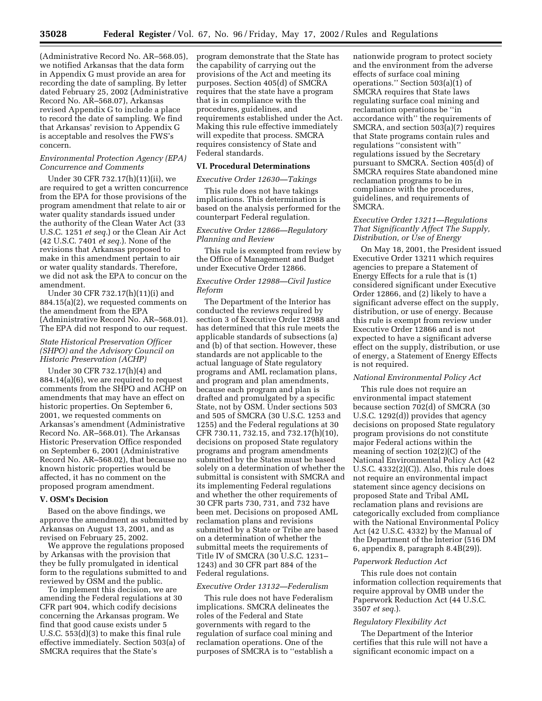(Administrative Record No. AR–568.05), we notified Arkansas that the data form in Appendix G must provide an area for recording the date of sampling. By letter dated February 25, 2002 (Administrative Record No. AR–568.07), Arkansas revised Appendix G to include a place to record the date of sampling. We find that Arkansas' revision to Appendix G is acceptable and resolves the FWS's concern.

# *Environmental Protection Agency (EPA) Concurrence and Comments*

Under 30 CFR 732.17(h)(11)(ii), we are required to get a written concurrence from the EPA for those provisions of the program amendment that relate to air or water quality standards issued under the authority of the Clean Water Act (33 U.S.C. 1251 *et seq.*) or the Clean Air Act (42 U.S.C. 7401 *et seq.*). None of the revisions that Arkansas proposed to make in this amendment pertain to air or water quality standards. Therefore, we did not ask the EPA to concur on the amendment.

Under 30 CFR 732.17(h)(11)(i) and 884.15(a)(2), we requested comments on the amendment from the EPA (Administrative Record No. AR–568.01). The EPA did not respond to our request.

## *State Historical Preservation Officer (SHPO) and the Advisory Council on Historic Preservation (ACHP)*

Under 30 CFR 732.17(h)(4) and 884.14(a)(6), we are required to request comments from the SHPO and ACHP on amendments that may have an effect on historic properties. On September 6, 2001, we requested comments on Arkansas's amendment (Administrative Record No. AR–568.01). The Arkansas Historic Preservation Office responded on September 6, 2001 (Administrative Record No. AR–568.02), that because no known historic properties would be affected, it has no comment on the proposed program amendment.

### **V. OSM's Decision**

Based on the above findings, we approve the amendment as submitted by Arkansas on August 13, 2001, and as revised on February 25, 2002.

We approve the regulations proposed by Arkansas with the provision that they be fully promulgated in identical form to the regulations submitted to and reviewed by OSM and the public.

To implement this decision, we are amending the Federal regulations at 30 CFR part 904, which codify decisions concerning the Arkansas program. We find that good cause exists under 5 U.S.C. 553(d)(3) to make this final rule effective immediately. Section 503(a) of SMCRA requires that the State's

program demonstrate that the State has the capability of carrying out the provisions of the Act and meeting its purposes. Section 405(d) of SMCRA requires that the state have a program that is in compliance with the procedures, guidelines, and requirements established under the Act. Making this rule effective immediately will expedite that process. SMCRA requires consistency of State and Federal standards.

# **VI. Procedural Determinations**

# *Executive Order 12630—Takings*

This rule does not have takings implications. This determination is based on the analysis performed for the counterpart Federal regulation.

# *Executive Order 12866—Regulatory Planning and Review*

This rule is exempted from review by the Office of Management and Budget under Executive Order 12866.

# *Executive Order 12988—Civil Justice Reform*

The Department of the Interior has conducted the reviews required by section 3 of Executive Order 12988 and has determined that this rule meets the applicable standards of subsections (a) and (b) of that section. However, these standards are not applicable to the actual language of State regulatory programs and AML reclamation plans, and program and plan amendments, because each program and plan is drafted and promulgated by a specific State, not by OSM. Under sections 503 and 505 of SMCRA (30 U.S.C. 1253 and 1255) and the Federal regulations at 30 CFR 730.11, 732.15, and 732.17(h)(10), decisions on proposed State regulatory programs and program amendments submitted by the States must be based solely on a determination of whether the submittal is consistent with SMCRA and its implementing Federal regulations and whether the other requirements of 30 CFR parts 730, 731, and 732 have been met. Decisions on proposed AML reclamation plans and revisions submitted by a State or Tribe are based on a determination of whether the submittal meets the requirements of Title IV of SMCRA (30 U.S.C. 1231– 1243) and 30 CFR part 884 of the Federal regulations.

# *Executive Order 13132—Federalism*

This rule does not have Federalism implications. SMCRA delineates the roles of the Federal and State governments with regard to the regulation of surface coal mining and reclamation operations. One of the purposes of SMCRA is to ''establish a nationwide program to protect society and the environment from the adverse effects of surface coal mining operations." Section  $503(a)(1)$  of SMCRA requires that State laws regulating surface coal mining and reclamation operations be ''in accordance with'' the requirements of SMCRA, and section 503(a)(7) requires that State programs contain rules and regulations ''consistent with'' regulations issued by the Secretary pursuant to SMCRA. Section 405(d) of SMCRA requires State abandoned mine reclamation programs to be in compliance with the procedures, guidelines, and requirements of SMCRA.

## *Executive Order 13211—Regulations That Significantly Affect The Supply, Distribution, or Use of Energy*

On May 18, 2001, the President issued Executive Order 13211 which requires agencies to prepare a Statement of Energy Effects for a rule that is (1) considered significant under Executive Order 12866, and (2) likely to have a significant adverse effect on the supply, distribution, or use of energy. Because this rule is exempt from review under Executive Order 12866 and is not expected to have a significant adverse effect on the supply, distribution, or use of energy, a Statement of Energy Effects is not required.

# *National Environmental Policy Act*

This rule does not require an environmental impact statement because section 702(d) of SMCRA (30 U.S.C. 1292(d)) provides that agency decisions on proposed State regulatory program provisions do not constitute major Federal actions within the meaning of section 102(2)(C) of the National Environmental Policy Act (42 U.S.C.  $4332(2)(C)$ . Also, this rule does not require an environmental impact statement since agency decisions on proposed State and Tribal AML reclamation plans and revisions are categorically excluded from compliance with the National Environmental Policy Act (42 U.S.C. 4332) by the Manual of the Department of the Interior (516 DM 6, appendix 8, paragraph 8.4B(29)).

#### *Paperwork Reduction Act*

This rule does not contain information collection requirements that require approval by OMB under the Paperwork Reduction Act (44 U.S.C. 3507 *et seq.*).

#### *Regulatory Flexibility Act*

The Department of the Interior certifies that this rule will not have a significant economic impact on a